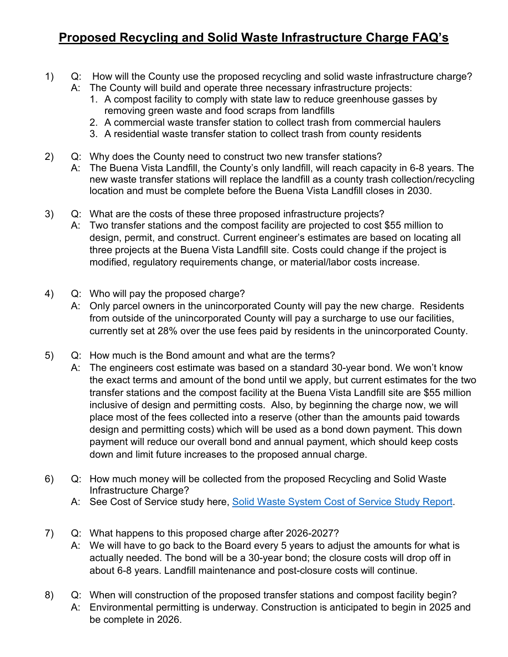## **Proposed Recycling and Solid Waste Infrastructure Charge FAQ's**

- 1) Q: How will the County use the proposed recycling and solid waste infrastructure charge?
	- A: The County will build and operate three necessary infrastructure projects:
		- 1. A compost facility to comply with state law to reduce greenhouse gasses by removing green waste and food scraps from landfills
		- 2. A commercial waste transfer station to collect trash from commercial haulers
		- 3. A residential waste transfer station to collect trash from county residents
- 2) Q: Why does the County need to construct two new transfer stations?
	- A: The Buena Vista Landfill, the County's only landfill, will reach capacity in 6-8 years. The new waste transfer stations will replace the landfill as a county trash collection/recycling location and must be complete before the Buena Vista Landfill closes in 2030.
- 3) Q: What are the costs of these three proposed infrastructure projects?
	- A: Two transfer stations and the compost facility are projected to cost \$55 million to design, permit, and construct. Current engineer's estimates are based on locating all three projects at the Buena Vista Landfill site. Costs could change if the project is modified, regulatory requirements change, or material/labor costs increase.
- 4) Q: Who will pay the proposed charge?
	- A: Only parcel owners in the unincorporated County will pay the new charge. Residents from outside of the unincorporated County will pay a surcharge to use our facilities, currently set at 28% over the use fees paid by residents in the unincorporated County.
- 5) Q: How much is the Bond amount and what are the terms?
	- A: The engineers cost estimate was based on a standard 30-year bond. We won't know the exact terms and amount of the bond until we apply, but current estimates for the two transfer stations and the compost facility at the Buena Vista Landfill site are \$55 million inclusive of design and permitting costs. Also, by beginning the charge now, we will place most of the fees collected into a reserve (other than the amounts paid towards design and permitting costs) which will be used as a bond down payment. This down payment will reduce our overall bond and annual payment, which should keep costs down and limit future increases to the proposed annual charge.
- 6) Q: How much money will be collected from the proposed Recycling and Solid Waste Infrastructure Charge?
	- A: See Cost of Service study here, [Solid Waste System Cost of Service Study Report.](https://dpw.co.santa-cruz.ca.us/Portals/19/pdfs/Recycling%20%26%20Trash/2022%20Cost%20of%20Service%20Study.pdf)
- 7) Q: What happens to this proposed charge after 2026-2027?
	- A: We will have to go back to the Board every 5 years to adjust the amounts for what is actually needed. The bond will be a 30-year bond; the closure costs will drop off in about 6-8 years. Landfill maintenance and post-closure costs will continue.
- 8) Q: When will construction of the proposed transfer stations and compost facility begin? A: Environmental permitting is underway. Construction is anticipated to begin in 2025 and be complete in 2026.